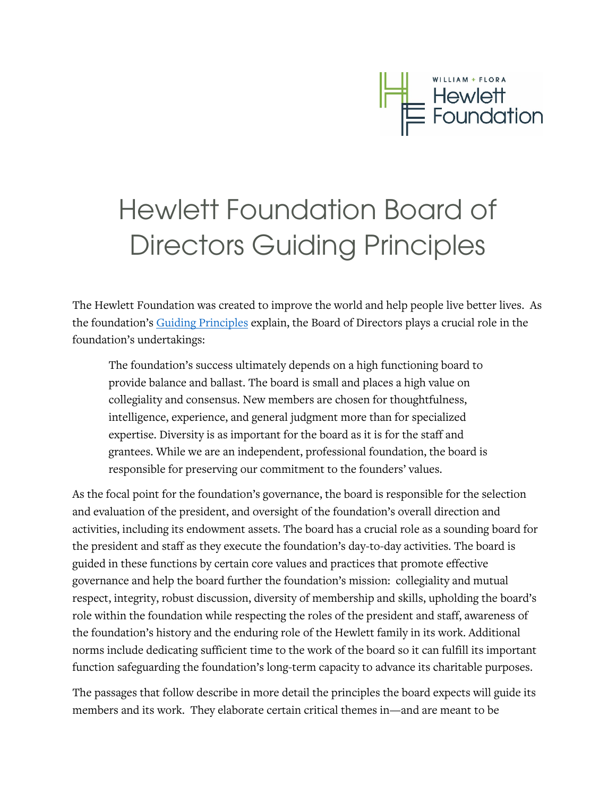

# Hewlett Foundation Board of Directors Guiding Principles

The Hewlett Foundation was created to improve the world and help people live better lives. As the foundation's [Guiding Principles](https://hewlett.org/about-us/values-and-policies/) explain, the Board of Directors plays a crucial role in the foundation's undertakings:

The foundation's success ultimately depends on a high functioning board to provide balance and ballast. The board is small and places a high value on collegiality and consensus. New members are chosen for thoughtfulness, intelligence, experience, and general judgment more than for specialized expertise. Diversity is as important for the board as it is for the staff and grantees. While we are an independent, professional foundation, the board is responsible for preserving our commitment to the founders' values.

As the focal point for the foundation's governance, the board is responsible for the selection and evaluation of the president, and oversight of the foundation's overall direction and activities, including its endowment assets. The board has a crucial role as a sounding board for the president and staff as they execute the foundation's day-to-day activities. The board is guided in these functions by certain core values and practices that promote effective governance and help the board further the foundation's mission: collegiality and mutual respect, integrity, robust discussion, diversity of membership and skills, upholding the board's role within the foundation while respecting the roles of the president and staff, awareness of the foundation's history and the enduring role of the Hewlett family in its work. Additional norms include dedicating sufficient time to the work of the board so it can fulfill its important function safeguarding the foundation's long-term capacity to advance its charitable purposes.

The passages that follow describe in more detail the principles the board expects will guide its members and its work. They elaborate certain critical themes in—and are meant to be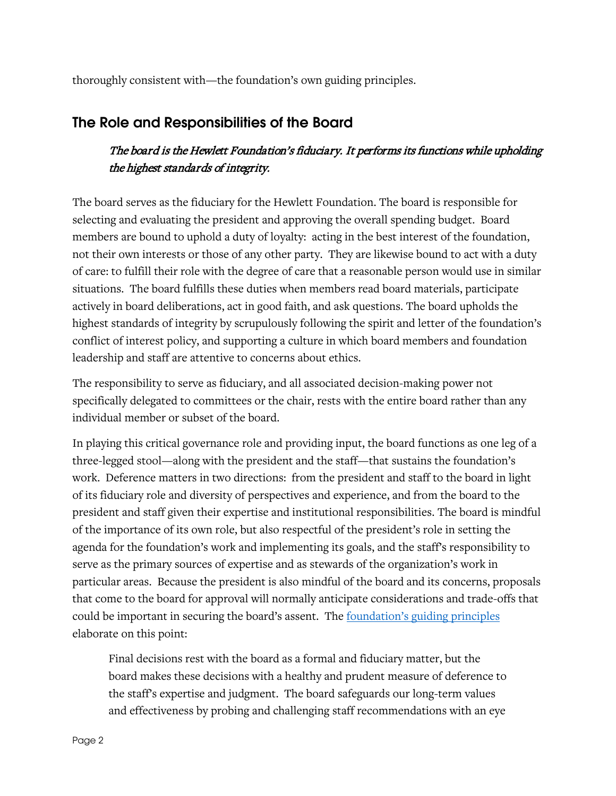thoroughly consistent with—the foundation's own guiding principles.

## The Role and Responsibilities of the Board

#### The board is the Hewlett Foundation's fiduciary. It performs its functions while upholding the highest standards of integrity.

The board serves as the fiduciary for the Hewlett Foundation. The board is responsible for selecting and evaluating the president and approving the overall spending budget. Board members are bound to uphold a duty of loyalty: acting in the best interest of the foundation, not their own interests or those of any other party. They are likewise bound to act with a duty of care: to fulfill their role with the degree of care that a reasonable person would use in similar situations. The board fulfills these duties when members read board materials, participate actively in board deliberations, act in good faith, and ask questions. The board upholds the highest standards of integrity by scrupulously following the spirit and letter of the foundation's conflict of interest policy, and supporting a culture in which board members and foundation leadership and staff are attentive to concerns about ethics.

The responsibility to serve as fiduciary, and all associated decision-making power not specifically delegated to committees or the chair, rests with the entire board rather than any individual member or subset of the board.

In playing this critical governance role and providing input, the board functions as one leg of a three-legged stool—along with the president and the staff—that sustains the foundation's work. Deference matters in two directions: from the president and staff to the board in light of its fiduciary role and diversity of perspectives and experience, and from the board to the president and staff given their expertise and institutional responsibilities. The board is mindful of the importance of its own role, but also respectful of the president's role in setting the agenda for the foundation's work and implementing its goals, and the staff's responsibility to serve as the primary sources of expertise and as stewards of the organization's work in particular areas. Because the president is also mindful of the board and its concerns, proposals that come to the board for approval will normally anticipate considerations and trade-offs that could be important in securing the board's assent. The [foundation's guiding principles](https://hewlett.org/autonomy-cooperation-lean-staff-flexible-procedures/) elaborate on this point:

Final decisions rest with the board as a formal and fiduciary matter, but the board makes these decisions with a healthy and prudent measure of deference to the staff's expertise and judgment. The board safeguards our long-term values and effectiveness by probing and challenging staff recommendations with an eye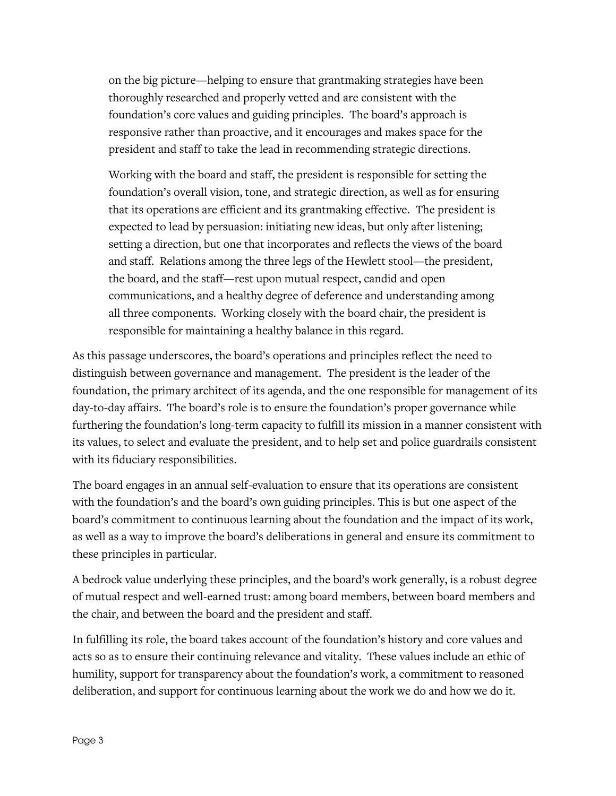on the big picture—helping to ensure that grantmaking strategies have been thoroughly researched and properly vetted and are consistent with the foundation's core values and guiding principles. The board's approach is responsive rather than proactive, and it encourages and makes space for the president and staff to take the lead in recommending strategic directions.

Working with the board and staff, the president is responsible for setting the foundation's overall vision, tone, and strategic direction, as well as for ensuring that its operations are efficient and its grantmaking effective. The president is expected to lead by persuasion: initiating new ideas, but only after listening; setting a direction, but one that incorporates and reflects the views of the board and staff. Relations among the three legs of the Hewlett stool—the president, the board, and the staff—rest upon mutual respect, candid and open communications, and a healthy degree of deference and understanding among all three components. Working closely with the board chair, the president is responsible for maintaining a healthy balance in this regard.

As this passage underscores, the board's operations and principles reflect the need to distinguish between governance and management. The president is the leader of the foundation, the primary architect of its agenda, and the one responsible for management of its day-to-day affairs. The board's role is to ensure the foundation's proper governance while furthering the foundation's long-term capacity to fulfill its mission in a manner consistent with its values, to select and evaluate the president, and to help set and police guardrails consistent with its fiduciary responsibilities.

The board engages in an annual self-evaluation to ensure that its operations are consistent with the foundation's and the board's own guiding principles. This is but one aspect of the board's commitment to continuous learning about the foundation and the impact of its work, as well as a way to improve the board's deliberations in general and ensure its commitment to these principles in particular.

A bedrock value underlying these principles, and the board's work generally, is a robust degree of mutual respect and well-earned trust: among board members, between board members and the chair, and between the board and the president and staff.

In fulfilling its role, the board takes account of the foundation's history and core values and acts so as to ensure their continuing relevance and vitality. These values include an ethic of humility, support for transparency about the foundation's work, a commitment to reasoned deliberation, and support for continuous learning about the work we do and how we do it.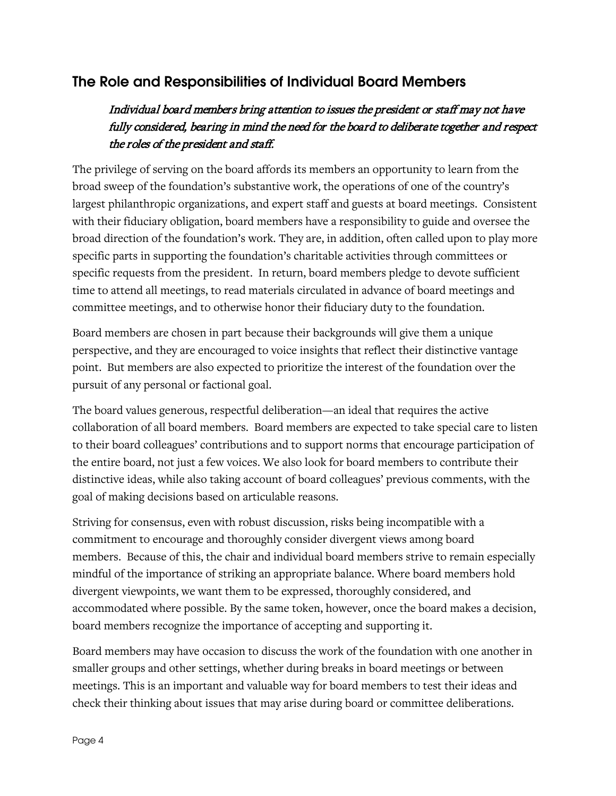## The Role and Responsibilities of Individual Board Members

#### Individual board members bring attention to issues the president or staff may not have fully considered, bearing in mind the need for the board to deliberate together and respect the roles of the president and staff.

The privilege of serving on the board affords its members an opportunity to learn from the broad sweep of the foundation's substantive work, the operations of one of the country's largest philanthropic organizations, and expert staff and guests at board meetings. Consistent with their fiduciary obligation, board members have a responsibility to guide and oversee the broad direction of the foundation's work. They are, in addition, often called upon to play more specific parts in supporting the foundation's charitable activities through committees or specific requests from the president. In return, board members pledge to devote sufficient time to attend all meetings, to read materials circulated in advance of board meetings and committee meetings, and to otherwise honor their fiduciary duty to the foundation.

Board members are chosen in part because their backgrounds will give them a unique perspective, and they are encouraged to voice insights that reflect their distinctive vantage point. But members are also expected to prioritize the interest of the foundation over the pursuit of any personal or factional goal.

The board values generous, respectful deliberation—an ideal that requires the active collaboration of all board members. Board members are expected to take special care to listen to their board colleagues' contributions and to support norms that encourage participation of the entire board, not just a few voices. We also look for board members to contribute their distinctive ideas, while also taking account of board colleagues' previous comments, with the goal of making decisions based on articulable reasons.

Striving for consensus, even with robust discussion, risks being incompatible with a commitment to encourage and thoroughly consider divergent views among board members. Because of this, the chair and individual board members strive to remain especially mindful of the importance of striking an appropriate balance. Where board members hold divergent viewpoints, we want them to be expressed, thoroughly considered, and accommodated where possible. By the same token, however, once the board makes a decision, board members recognize the importance of accepting and supporting it.

Board members may have occasion to discuss the work of the foundation with one another in smaller groups and other settings, whether during breaks in board meetings or between meetings. This is an important and valuable way for board members to test their ideas and check their thinking about issues that may arise during board or committee deliberations.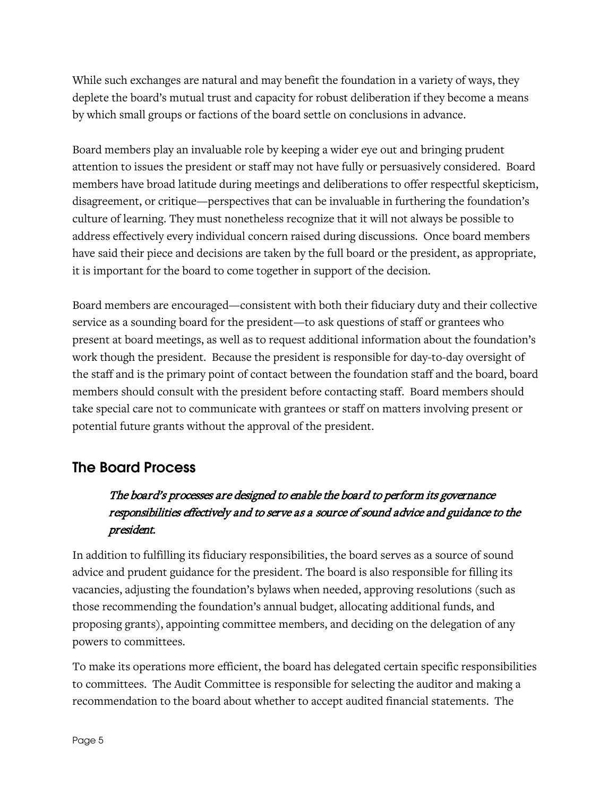While such exchanges are natural and may benefit the foundation in a variety of ways, they deplete the board's mutual trust and capacity for robust deliberation if they become a means by which small groups or factions of the board settle on conclusions in advance.

Board members play an invaluable role by keeping a wider eye out and bringing prudent attention to issues the president or staff may not have fully or persuasively considered. Board members have broad latitude during meetings and deliberations to offer respectful skepticism, disagreement, or critique—perspectives that can be invaluable in furthering the foundation's culture of learning. They must nonetheless recognize that it will not always be possible to address effectively every individual concern raised during discussions. Once board members have said their piece and decisions are taken by the full board or the president, as appropriate, it is important for the board to come together in support of the decision.

Board members are encouraged—consistent with both their fiduciary duty and their collective service as a sounding board for the president—to ask questions of staff or grantees who present at board meetings, as well as to request additional information about the foundation's work though the president. Because the president is responsible for day-to-day oversight of the staff and is the primary point of contact between the foundation staff and the board, board members should consult with the president before contacting staff. Board members should take special care not to communicate with grantees or staff on matters involving present or potential future grants without the approval of the president.

## The Board Process

#### The board's processes are designed to enable the board to perform its governance responsibilities effectively and to serve as a source of sound advice and guidance to the president.

In addition to fulfilling its fiduciary responsibilities, the board serves as a source of sound advice and prudent guidance for the president. The board is also responsible for filling its vacancies, adjusting the foundation's bylaws when needed, approving resolutions (such as those recommending the foundation's annual budget, allocating additional funds, and proposing grants), appointing committee members, and deciding on the delegation of any powers to committees.

To make its operations more efficient, the board has delegated certain specific responsibilities to committees. The Audit Committee is responsible for selecting the auditor and making a recommendation to the board about whether to accept audited financial statements. The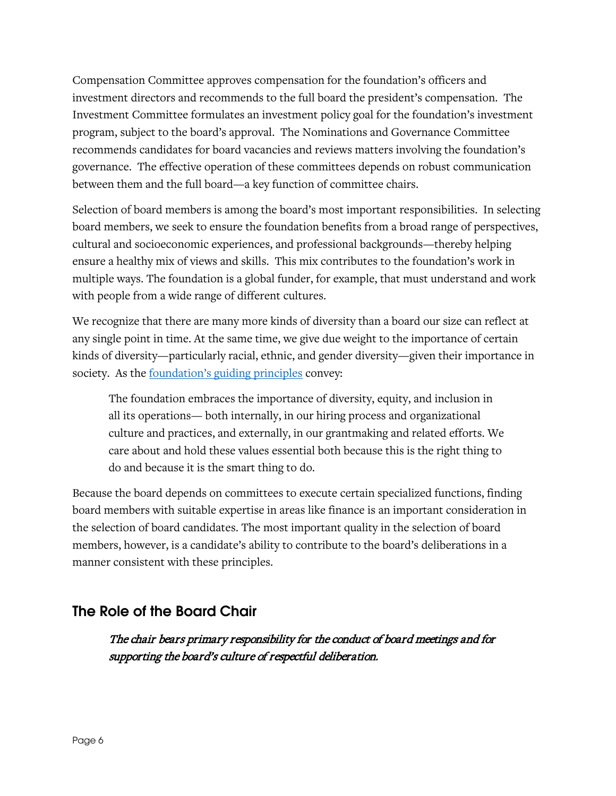Compensation Committee approves compensation for the foundation's officers and investment directors and recommends to the full board the president's compensation. The Investment Committee formulates an investment policy goal for the foundation's investment program, subject to the board's approval. The Nominations and Governance Committee recommends candidates for board vacancies and reviews matters involving the foundation's governance. The effective operation of these committees depends on robust communication between them and the full board—a key function of committee chairs.

Selection of board members is among the board's most important responsibilities. In selecting board members, we seek to ensure the foundation benefits from a broad range of perspectives, cultural and socioeconomic experiences, and professional backgrounds—thereby helping ensure a healthy mix of views and skills. This mix contributes to the foundation's work in multiple ways. The foundation is a global funder, for example, that must understand and work with people from a wide range of different cultures.

We recognize that there are many more kinds of diversity than a board our size can reflect at any single point in time. At the same time, we give due weight to the importance of certain kinds of diversity—particularly racial, ethnic, and gender diversity—given their importance in society. As the [foundation's guiding principles](https://hewlett.org/diversity-equity-inclusion/) convey:

The foundation embraces the importance of diversity, equity, and inclusion in all its operations— both internally, in our hiring process and organizational culture and practices, and externally, in our grantmaking and related efforts. We care about and hold these values essential both because this is the right thing to do and because it is the smart thing to do.

Because the board depends on committees to execute certain specialized functions, finding board members with suitable expertise in areas like finance is an important consideration in the selection of board candidates. The most important quality in the selection of board members, however, is a candidate's ability to contribute to the board's deliberations in a manner consistent with these principles.

#### The Role of the Board Chair

The chair bears primary responsibility for the conduct of board meetings and for supporting the board's culture of respectful deliberation.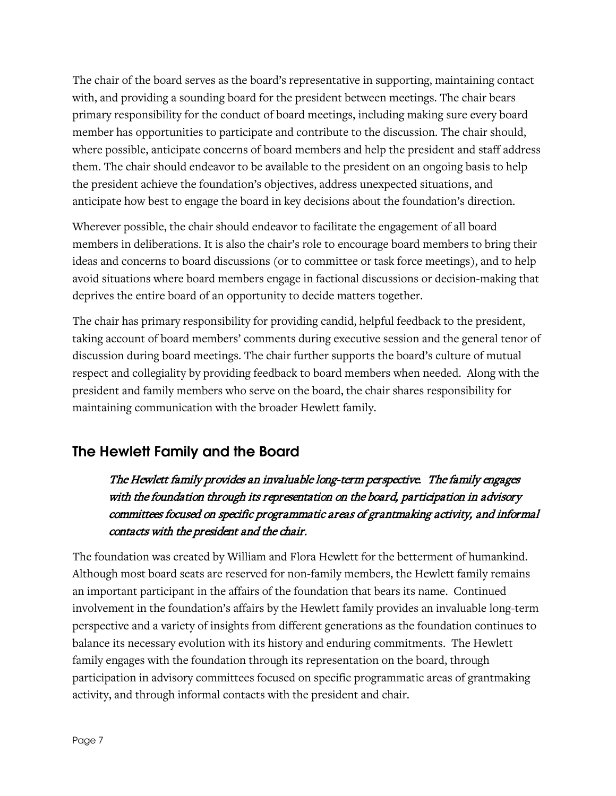The chair of the board serves as the board's representative in supporting, maintaining contact with, and providing a sounding board for the president between meetings. The chair bears primary responsibility for the conduct of board meetings, including making sure every board member has opportunities to participate and contribute to the discussion. The chair should, where possible, anticipate concerns of board members and help the president and staff address them. The chair should endeavor to be available to the president on an ongoing basis to help the president achieve the foundation's objectives, address unexpected situations, and anticipate how best to engage the board in key decisions about the foundation's direction.

Wherever possible, the chair should endeavor to facilitate the engagement of all board members in deliberations. It is also the chair's role to encourage board members to bring their ideas and concerns to board discussions (or to committee or task force meetings), and to help avoid situations where board members engage in factional discussions or decision-making that deprives the entire board of an opportunity to decide matters together.

The chair has primary responsibility for providing candid, helpful feedback to the president, taking account of board members' comments during executive session and the general tenor of discussion during board meetings. The chair further supports the board's culture of mutual respect and collegiality by providing feedback to board members when needed. Along with the president and family members who serve on the board, the chair shares responsibility for maintaining communication with the broader Hewlett family.

# The Hewlett Family and the Board

The Hewlett family provides an invaluable long-term perspective. The family engages with the foundation through its representation on the board, participation in advisory committees focused on specific programmatic areas of grantmaking activity, and informal contacts with the president and the chair.

The foundation was created by William and Flora Hewlett for the betterment of humankind. Although most board seats are reserved for non-family members, the Hewlett family remains an important participant in the affairs of the foundation that bears its name. Continued involvement in the foundation's affairs by the Hewlett family provides an invaluable long-term perspective and a variety of insights from different generations as the foundation continues to balance its necessary evolution with its history and enduring commitments. The Hewlett family engages with the foundation through its representation on the board, through participation in advisory committees focused on specific programmatic areas of grantmaking activity, and through informal contacts with the president and chair.